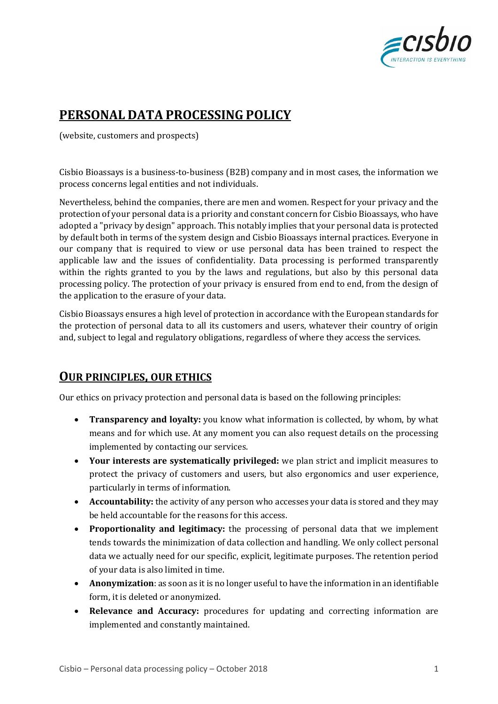

# **PERSONAL DATA PROCESSING POLICY**

(website, customers and prospects)

Cisbio Bioassays is a business-to-business (B2B) company and in most cases, the information we process concerns legal entities and not individuals.

Nevertheless, behind the companies, there are men and women. Respect for your privacy and the protection of your personal data is a priority and constant concern for Cisbio Bioassays, who have adopted a "privacy by design" approach. This notably implies that your personal data is protected by default both in terms of the system design and Cisbio Bioassays internal practices. Everyone in our company that is required to view or use personal data has been trained to respect the applicable law and the issues of confidentiality. Data processing is performed transparently within the rights granted to you by the laws and regulations, but also by this personal data processing policy. The protection of your privacy is ensured from end to end, from the design of the application to the erasure of your data.

Cisbio Bioassays ensures a high level of protection in accordance with the European standards for the protection of personal data to all its customers and users, whatever their country of origin and, subject to legal and regulatory obligations, regardless of where they access the services.

## **OUR PRINCIPLES, OUR ETHICS**

Our ethics on privacy protection and personal data is based on the following principles:

- **Transparency and loyalty:** you know what information is collected, by whom, by what means and for which use. At any moment you can also request details on the processing implemented by contacting our services.
- **Your interests are systematically privileged:** we plan strict and implicit measures to protect the privacy of customers and users, but also ergonomics and user experience, particularly in terms of information.
- **Accountability:** the activity of any person who accesses your data is stored and they may be held accountable for the reasons for this access.
- **Proportionality and legitimacy:** the processing of personal data that we implement tends towards the minimization of data collection and handling. We only collect personal data we actually need for our specific, explicit, legitimate purposes. The retention period of your data is also limited in time.
- **Anonymization**: as soon as it is no longer useful to have the information in an identifiable form, it is deleted or anonymized.
- **Relevance and Accuracy:** procedures for updating and correcting information are implemented and constantly maintained.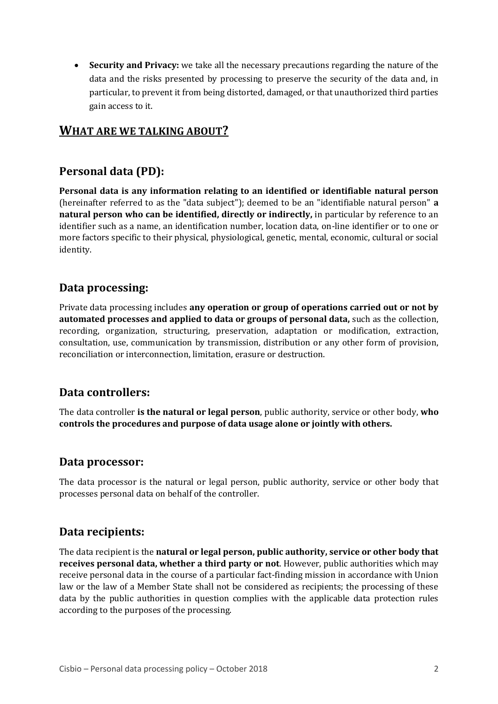• **Security and Privacy:** we take all the necessary precautions regarding the nature of the data and the risks presented by processing to preserve the security of the data and, in particular, to prevent it from being distorted, damaged, or that unauthorized third parties gain access to it.

## **WHAT ARE WE TALKING ABOUT?**

## **Personal data (PD):**

**Personal data is any information relating to an identified or identifiable natural person** (hereinafter referred to as the "data subject"); deemed to be an "identifiable natural person" **a natural person who can be identified, directly or indirectly,** in particular by reference to an identifier such as a name, an identification number, location data, on-line identifier or to one or more factors specific to their physical, physiological, genetic, mental, economic, cultural or social identity.

## **Data processing:**

Private data processing includes **any operation or group of operations carried out or not by automated processes and applied to data or groups of personal data,** such as the collection, recording, organization, structuring, preservation, adaptation or modification, extraction, consultation, use, communication by transmission, distribution or any other form of provision, reconciliation or interconnection, limitation, erasure or destruction.

## **Data controllers:**

The data controller **is the natural or legal person**, public authority, service or other body, **who controls the procedures and purpose of data usage alone or jointly with others.**

## **Data processor:**

The data processor is the natural or legal person, public authority, service or other body that processes personal data on behalf of the controller.

## **Data recipients:**

The data recipient is the **natural or legal person, public authority, service or other body that receives personal data, whether a third party or not**. However, public authorities which may receive personal data in the course of a particular fact-finding mission in accordance with Union law or the law of a Member State shall not be considered as recipients; the processing of these data by the public authorities in question complies with the applicable data protection rules according to the purposes of the processing.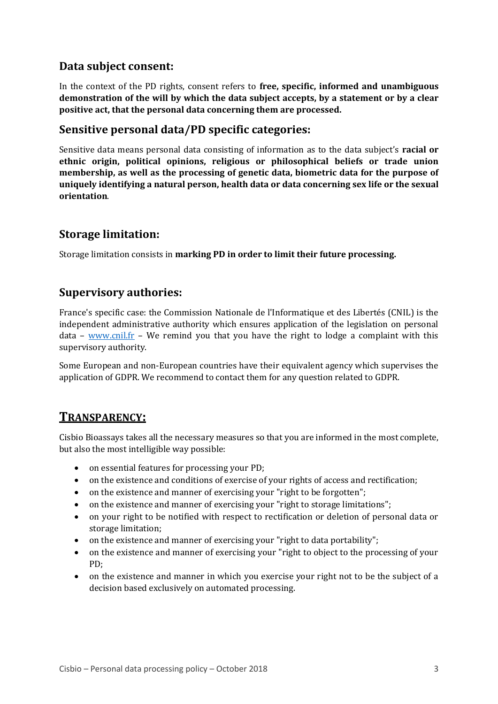## **Data subject consent:**

In the context of the PD rights, consent refers to **free, specific, informed and unambiguous demonstration of the will by which the data subject accepts, by a statement or by a clear positive act, that the personal data concerning them are processed.**

#### **Sensitive personal data/PD specific categories:**

Sensitive data means personal data consisting of information as to the data subject's **racial or ethnic origin, political opinions, religious or philosophical beliefs or trade union membership, as well as the processing of genetic data, biometric data for the purpose of uniquely identifying a natural person, health data or data concerning sex life or the sexual orientation**.

## **Storage limitation:**

Storage limitation consists in **marking PD in order to limit their future processing.**

## **Supervisory authories:**

France's specific case: the Commission Nationale de l'Informatique et des Libertés (CNIL) is the independent administrative authority which ensures application of the legislation on personal data – [www.cnil.fr](http://www.cnil.fr/) – We remind you that you have the right to lodge a complaint with this supervisory authority.

Some European and non-European countries have their equivalent agency which supervises the application of GDPR. We recommend to contact them for any question related to GDPR.

## **TRANSPARENCY:**

Cisbio Bioassays takes all the necessary measures so that you are informed in the most complete, but also the most intelligible way possible:

- on essential features for processing your PD;
- on the existence and conditions of exercise of your rights of access and rectification;
- on the existence and manner of exercising your "right to be forgotten";
- on the existence and manner of exercising your "right to storage limitations";
- on your right to be notified with respect to rectification or deletion of personal data or storage limitation;
- on the existence and manner of exercising your "right to data portability";
- on the existence and manner of exercising your "right to object to the processing of your PD;
- on the existence and manner in which you exercise your right not to be the subject of a decision based exclusively on automated processing.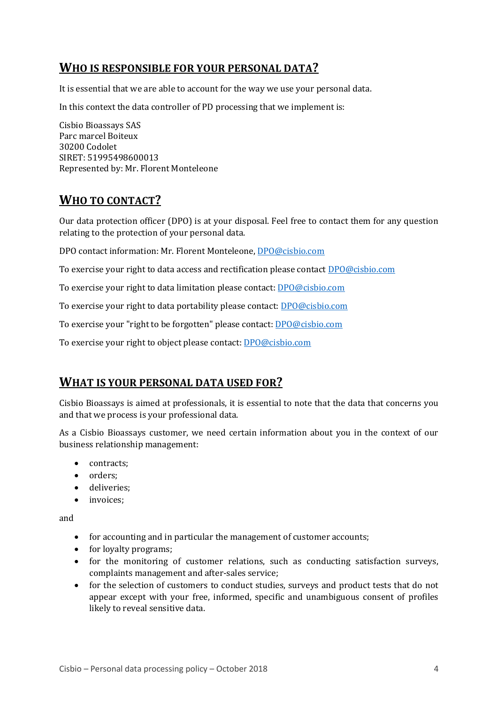# **WHO IS RESPONSIBLE FOR YOUR PERSONAL DATA?**

It is essential that we are able to account for the way we use your personal data.

In this context the data controller of PD processing that we implement is:

Cisbio Bioassays SAS Parc marcel Boiteux 30200 Codolet SIRET: 51995498600013 Represented by: Mr. Florent Monteleone

## **WHO TO CONTACT?**

Our data protection officer (DPO) is at your disposal. Feel free to contact them for any question relating to the protection of your personal data.

DPO contact information: Mr. Florent Monteleone, [DPO@cisbio.com](mailto:DPO@cisbio.com)

To exercise your right to data access and rectification please contact [DPO@cisbio.com](mailto:DPO@cisbio.com)

To exercise your right to data limitation please contact: [DPO@cisbio.com](mailto:DPO@cisbio.com)

To exercise your right to data portability please contact: [DPO@cisbio.com](mailto:DPO@cisbio.com)

To exercise your "right to be forgotten" please contact: [DPO@cisbio.com](mailto:DPO@cisbio.com)

To exercise your right to object please contact[: DPO@cisbio.com](mailto:DPO@cisbio.com)

## **WHAT IS YOUR PERSONAL DATA USED FOR?**

Cisbio Bioassays is aimed at professionals, it is essential to note that the data that concerns you and that we process is your professional data.

As a Cisbio Bioassays customer, we need certain information about you in the context of our business relationship management:

- contracts;
- orders;
- deliveries;
- invoices:

and

- for accounting and in particular the management of customer accounts;
- for loyalty programs;
- for the monitoring of customer relations, such as conducting satisfaction surveys, complaints management and after-sales service;
- for the selection of customers to conduct studies, surveys and product tests that do not appear except with your free, informed, specific and unambiguous consent of profiles likely to reveal sensitive data.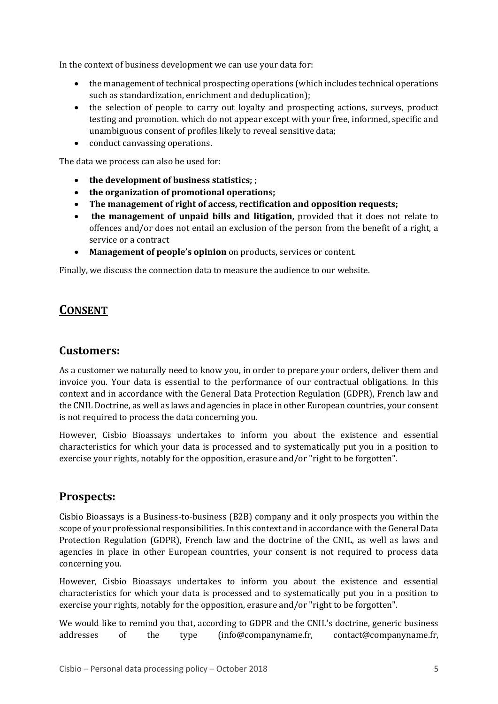In the context of business development we can use your data for:

- the management of technical prospecting operations (which includes technical operations such as standardization, enrichment and deduplication);
- the selection of people to carry out loyalty and prospecting actions, surveys, product testing and promotion. which do not appear except with your free, informed, specific and unambiguous consent of profiles likely to reveal sensitive data;
- conduct canvassing operations.

The data we process can also be used for:

- **the development of business statistics;** ;
- **the organization of promotional operations;**
- **The management of right of access, rectification and opposition requests;**
- **the management of unpaid bills and litigation,** provided that it does not relate to offences and/or does not entail an exclusion of the person from the benefit of a right, a service or a contract
- **Management of people's opinion** on products, services or content.

Finally, we discuss the connection data to measure the audience to our website.

## **CONSENT**

#### **Customers:**

As a customer we naturally need to know you, in order to prepare your orders, deliver them and invoice you. Your data is essential to the performance of our contractual obligations. In this context and in accordance with the General Data Protection Regulation (GDPR), French law and the CNIL Doctrine, as well as laws and agencies in place in other European countries, your consent is not required to process the data concerning you.

However, Cisbio Bioassays undertakes to inform you about the existence and essential characteristics for which your data is processed and to systematically put you in a position to exercise your rights, notably for the opposition, erasure and/or "right to be forgotten".

## **Prospects:**

Cisbio Bioassays is a Business-to-business (B2B) company and it only prospects you within the scope of your professional responsibilities. In this context and in accordance with the General Data Protection Regulation (GDPR), French law and the doctrine of the CNIL, as well as laws and agencies in place in other European countries, your consent is not required to process data concerning you.

However, Cisbio Bioassays undertakes to inform you about the existence and essential characteristics for which your data is processed and to systematically put you in a position to exercise your rights, notably for the opposition, erasure and/or "right to be forgotten".

We would like to remind you that, according to GDPR and the CNIL's doctrine, generic business addresses of the type (info@companyname.fr, contact@companyname.fr,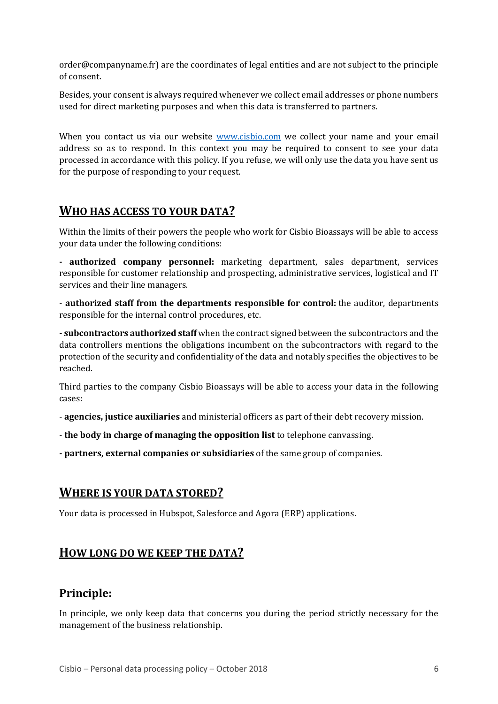order@companyname.fr) are the coordinates of legal entities and are not subject to the principle of consent.

Besides, your consent is always required whenever we collect email addresses or phone numbers used for direct marketing purposes and when this data is transferred to partners.

When you contact us via our website **www.cisbio.com** we collect your name and your email address so as to respond. In this context you may be required to consent to see your data processed in accordance with this policy. If you refuse, we will only use the data you have sent us for the purpose of responding to your request.

## **WHO HAS ACCESS TO YOUR DATA?**

Within the limits of their powers the people who work for Cisbio Bioassays will be able to access your data under the following conditions:

**- authorized company personnel:** marketing department, sales department, services responsible for customer relationship and prospecting, administrative services, logistical and IT services and their line managers.

- **authorized staff from the departments responsible for control:** the auditor, departments responsible for the internal control procedures, etc.

**- subcontractors authorized staff** when the contract signed between the subcontractors and the data controllers mentions the obligations incumbent on the subcontractors with regard to the protection of the security and confidentiality of the data and notably specifies the objectives to be reached.

Third parties to the company Cisbio Bioassays will be able to access your data in the following cases:

- **agencies, justice auxiliaries** and ministerial officers as part of their debt recovery mission.

- **the body in charge of managing the opposition list** to telephone canvassing.

**- partners, external companies or subsidiaries** of the same group of companies.

## **WHERE IS YOUR DATA STORED?**

Your data is processed in Hubspot, Salesforce and Agora (ERP) applications.

## **HOW LONG DO WE KEEP THE DATA?**

## **Principle:**

In principle, we only keep data that concerns you during the period strictly necessary for the management of the business relationship.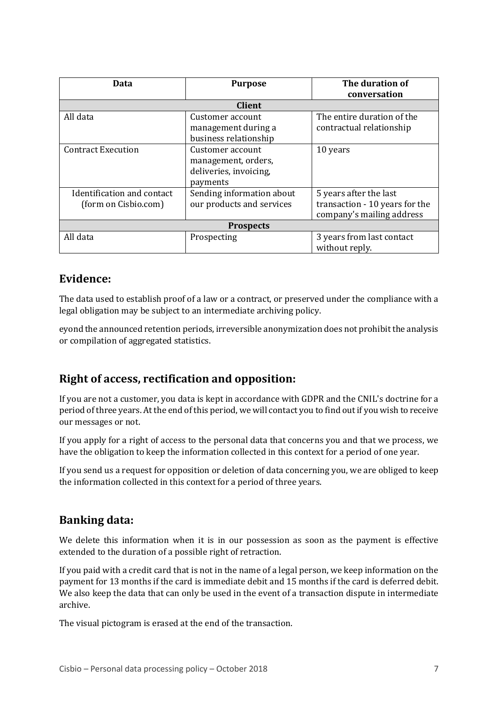| Data                                               | <b>Purpose</b>                                                                | The duration of<br>conversation                                                       |
|----------------------------------------------------|-------------------------------------------------------------------------------|---------------------------------------------------------------------------------------|
| <b>Client</b>                                      |                                                                               |                                                                                       |
| All data                                           | Customer account<br>management during a<br>business relationship              | The entire duration of the<br>contractual relationship                                |
| <b>Contract Execution</b>                          | Customer account<br>management, orders,<br>deliveries, invoicing,<br>payments | 10 years                                                                              |
| Identification and contact<br>(form on Cisbio.com) | Sending information about<br>our products and services                        | 5 years after the last<br>transaction - 10 years for the<br>company's mailing address |
| <b>Prospects</b>                                   |                                                                               |                                                                                       |
| All data                                           | Prospecting                                                                   | 3 years from last contact<br>without reply.                                           |

## **Evidence:**

The data used to establish proof of a law or a contract, or preserved under the compliance with a legal obligation may be subject to an intermediate archiving policy.

eyond the announced retention periods, irreversible anonymization does not prohibit the analysis or compilation of aggregated statistics.

## **Right of access, rectification and opposition:**

If you are not a customer, you data is kept in accordance with GDPR and the CNIL's doctrine for a period of three years. At the end of this period, we will contact you to find out if you wish to receive our messages or not.

If you apply for a right of access to the personal data that concerns you and that we process, we have the obligation to keep the information collected in this context for a period of one year.

If you send us a request for opposition or deletion of data concerning you, we are obliged to keep the information collected in this context for a period of three years.

## **Banking data:**

We delete this information when it is in our possession as soon as the payment is effective extended to the duration of a possible right of retraction.

If you paid with a credit card that is not in the name of a legal person, we keep information on the payment for 13 months if the card is immediate debit and 15 months if the card is deferred debit. We also keep the data that can only be used in the event of a transaction dispute in intermediate archive.

The visual pictogram is erased at the end of the transaction.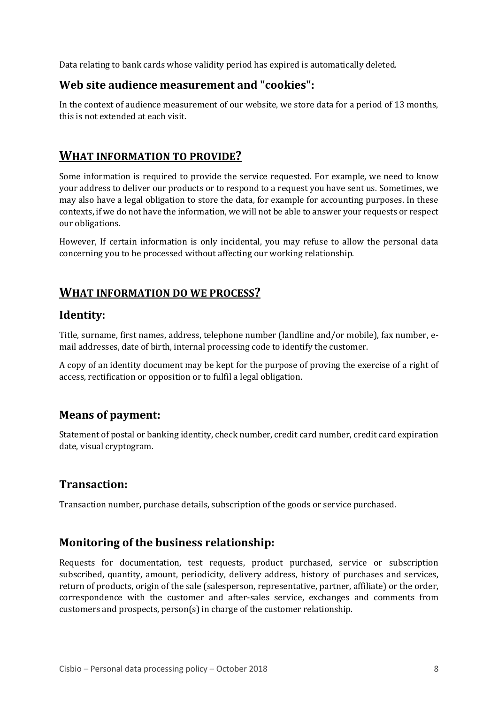Data relating to bank cards whose validity period has expired is automatically deleted.

#### **Web site audience measurement and "cookies":**

In the context of audience measurement of our website, we store data for a period of 13 months, this is not extended at each visit.

## **WHAT INFORMATION TO PROVIDE?**

Some information is required to provide the service requested. For example, we need to know your address to deliver our products or to respond to a request you have sent us. Sometimes, we may also have a legal obligation to store the data, for example for accounting purposes. In these contexts, if we do not have the information, we will not be able to answer your requests or respect our obligations.

However, If certain information is only incidental, you may refuse to allow the personal data concerning you to be processed without affecting our working relationship.

## **WHAT INFORMATION DO WE PROCESS?**

## **Identity:**

Title, surname, first names, address, telephone number (landline and/or mobile), fax number, email addresses, date of birth, internal processing code to identify the customer.

A copy of an identity document may be kept for the purpose of proving the exercise of a right of access, rectification or opposition or to fulfil a legal obligation.

## **Means of payment:**

Statement of postal or banking identity, check number, credit card number, credit card expiration date, visual cryptogram.

## **Transaction:**

Transaction number, purchase details, subscription of the goods or service purchased.

## **Monitoring of the business relationship:**

Requests for documentation, test requests, product purchased, service or subscription subscribed, quantity, amount, periodicity, delivery address, history of purchases and services, return of products, origin of the sale (salesperson, representative, partner, affiliate) or the order, correspondence with the customer and after-sales service, exchanges and comments from customers and prospects, person(s) in charge of the customer relationship.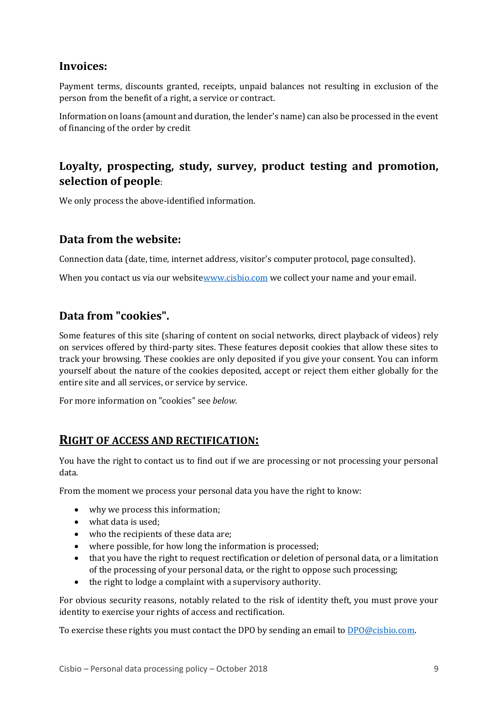## **Invoices:**

Payment terms, discounts granted, receipts, unpaid balances not resulting in exclusion of the person from the benefit of a right, a service or contract.

Information on loans (amount and duration, the lender's name) can also be processed in the event of financing of the order by credit

## **Loyalty, prospecting, study, survey, product testing and promotion, selection of people**:

We only process the above-identified information.

## **Data from the website:**

Connection data (date, time, internet address, visitor's computer protocol, page consulted).

When you contact us via our websit[ewww.cisbio.com](http://www.cisbio.com/) we collect your name and your email.

## **Data from "cookies".**

Some features of this site (sharing of content on social networks, direct playback of videos) rely on services offered by third-party sites. These features deposit cookies that allow these sites to track your browsing. These cookies are only deposited if you give your consent. You can inform yourself about the nature of the cookies deposited, accept or reject them either globally for the entire site and all services, or service by service.

For more information on "cookies" see *below.*

## **RIGHT OF ACCESS AND RECTIFICATION:**

You have the right to contact us to find out if we are processing or not processing your personal data.

From the moment we process your personal data you have the right to know:

- why we process this information;
- what data is used;
- who the recipients of these data are;
- where possible, for how long the information is processed;
- that you have the right to request rectification or deletion of personal data, or a limitation of the processing of your personal data, or the right to oppose such processing;
- the right to lodge a complaint with a supervisory authority.

For obvious security reasons, notably related to the risk of identity theft, you must prove your identity to exercise your rights of access and rectification.

To exercise these rights you must contact the DPO by sending an email t[o DPO@cisbio.com.](mailto:DPO@cisbio.com)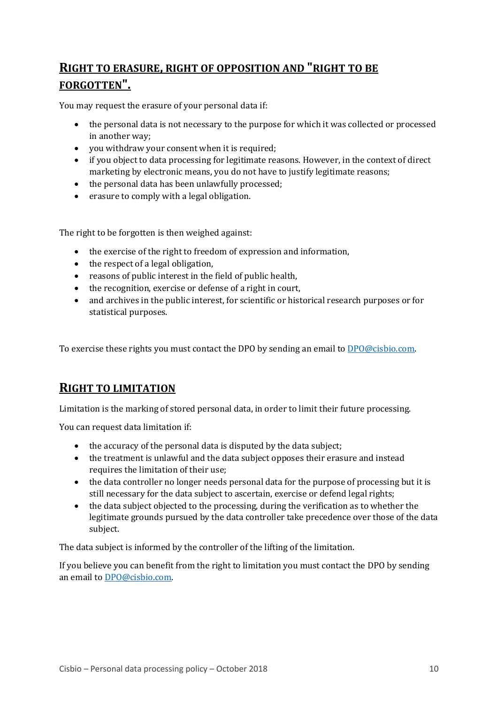# **RIGHT TO ERASURE, RIGHT OF OPPOSITION AND "RIGHT TO BE FORGOTTEN".**

You may request the erasure of your personal data if:

- the personal data is not necessary to the purpose for which it was collected or processed in another way;
- you withdraw your consent when it is required;
- if you object to data processing for legitimate reasons. However, in the context of direct marketing by electronic means, you do not have to justify legitimate reasons;
- the personal data has been unlawfully processed;
- erasure to comply with a legal obligation.

The right to be forgotten is then weighed against:

- the exercise of the right to freedom of expression and information,
- the respect of a legal obligation,
- reasons of public interest in the field of public health,
- the recognition, exercise or defense of a right in court,
- and archives in the public interest, for scientific or historical research purposes or for statistical purposes.

To exercise these rights you must contact the DPO by sending an email t[o DPO@cisbio.com.](mailto:DPO@cisbio.com)

## **RIGHT TO LIMITATION**

Limitation is the marking of stored personal data, in order to limit their future processing.

You can request data limitation if:

- the accuracy of the personal data is disputed by the data subject;
- the treatment is unlawful and the data subject opposes their erasure and instead requires the limitation of their use;
- the data controller no longer needs personal data for the purpose of processing but it is still necessary for the data subject to ascertain, exercise or defend legal rights;
- the data subject objected to the processing, during the verification as to whether the legitimate grounds pursued by the data controller take precedence over those of the data subject.

The data subject is informed by the controller of the lifting of the limitation.

If you believe you can benefit from the right to limitation you must contact the DPO by sending an email to [DPO@cisbio.com.](mailto:DPO@cisbio.com)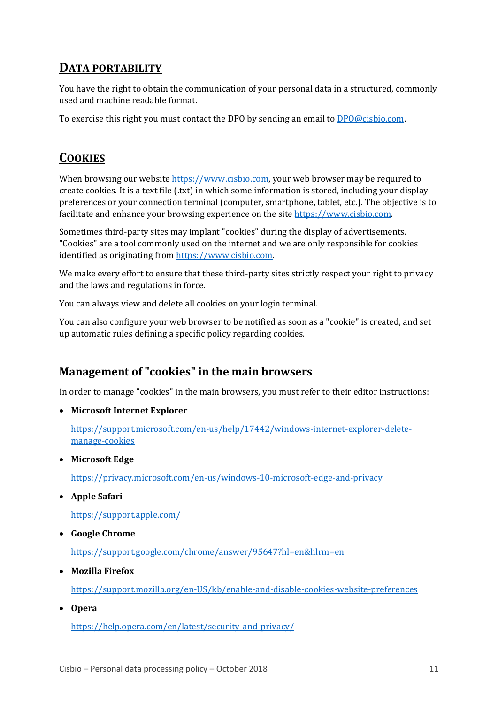# **DATA PORTABILITY**

You have the right to obtain the communication of your personal data in a structured, commonly used and machine readable format.

To exercise this right you must contact the DPO by sending an email to [DPO@cisbio.com.](mailto:DPO@cisbio.com)

# **COOKIES**

When browsing our website [https://www.cisbio.com,](https://www.cisbio.com/) your web browser may be required to create cookies. It is a text file (.txt) in which some information is stored, including your display preferences or your connection terminal (computer, smartphone, tablet, etc.). The objective is to facilitate and enhance your browsing experience on the site [https://www.cisbio.com.](https://www.cisbio.com/)

Sometimes third-party sites may implant "cookies" during the display of advertisements. "Cookies" are a tool commonly used on the internet and we are only responsible for cookies identified as originating fro[m https://www.cisbio.com.](https://www.cisbio.com/)

We make every effort to ensure that these third-party sites strictly respect your right to privacy and the laws and regulations in force.

You can always view and delete all cookies on your login terminal.

You can also configure your web browser to be notified as soon as a "cookie" is created, and set up automatic rules defining a specific policy regarding cookies.

## **Management of "cookies" in the main browsers**

In order to manage "cookies" in the main browsers, you must refer to their editor instructions:

• **Microsoft Internet Explorer**

[https://support.microsoft.com/en-us/help/17442/windows-internet-explorer-delete](https://support.microsoft.com/en-us/help/17442/windows-internet-explorer-delete-manage-cookies)[manage-cookies](https://support.microsoft.com/en-us/help/17442/windows-internet-explorer-delete-manage-cookies)

• **Microsoft Edge**

<https://privacy.microsoft.com/en-us/windows-10-microsoft-edge-and-privacy>

• **Apple Safari**

<https://support.apple.com/>

• **Google Chrome**

<https://support.google.com/chrome/answer/95647?hl=en&hlrm=en>

• **Mozilla Firefox**

<https://support.mozilla.org/en-US/kb/enable-and-disable-cookies-website-preferences>

• **Opera**

<https://help.opera.com/en/latest/security-and-privacy/>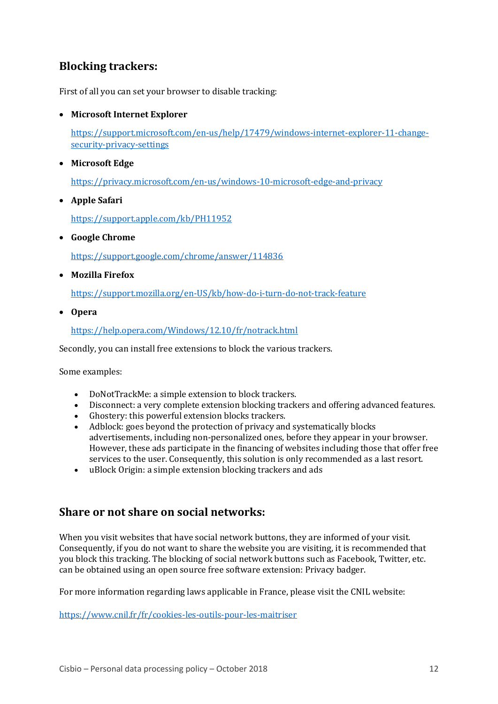# **Blocking trackers:**

First of all you can set your browser to disable tracking:

• **Microsoft Internet Explorer**

[https://support.microsoft.com/en-us/help/17479/windows-internet-explorer-11-change](https://support.microsoft.com/en-us/help/17479/windows-internet-explorer-11-change-security-privacy-settings)[security-privacy-settings](https://support.microsoft.com/en-us/help/17479/windows-internet-explorer-11-change-security-privacy-settings)

• **Microsoft Edge**

<https://privacy.microsoft.com/en-us/windows-10-microsoft-edge-and-privacy>

• **Apple Safari**

<https://support.apple.com/kb/PH11952>

• **Google Chrome**

<https://support.google.com/chrome/answer/114836>

• **Mozilla Firefox**

<https://support.mozilla.org/en-US/kb/how-do-i-turn-do-not-track-feature>

• **Opera**

<https://help.opera.com/Windows/12.10/fr/notrack.html>

Secondly, you can install free extensions to block the various trackers.

Some examples:

- DoNotTrackMe: a simple extension to block trackers.
- Disconnect: a very complete extension blocking trackers and offering advanced features.
- Ghostery: this powerful extension blocks trackers.
- Adblock: goes beyond the protection of privacy and systematically blocks advertisements, including non-personalized ones, before they appear in your browser. However, these ads participate in the financing of websites including those that offer free services to the user. Consequently, this solution is only recommended as a last resort.
- uBlock Origin: a simple extension blocking trackers and ads

## **Share or not share on social networks:**

When you visit websites that have social network buttons, they are informed of your visit. Consequently, if you do not want to share the website you are visiting, it is recommended that you block this tracking. The blocking of social network buttons such as Facebook, Twitter, etc. can be obtained using an open source free software extension: Privacy badger.

For more information regarding laws applicable in France, please visit the CNIL website:

<https://www.cnil.fr/fr/cookies-les-outils-pour-les-maitriser>